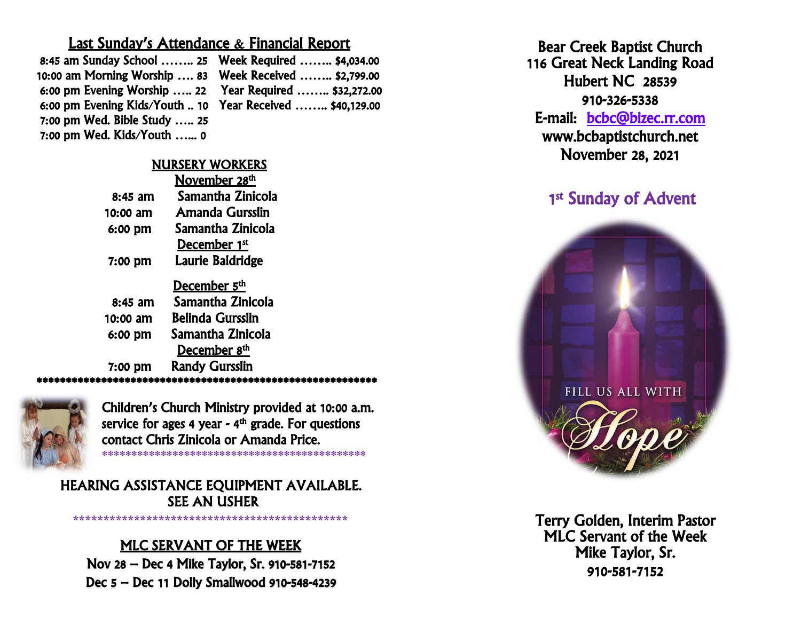## Last Sunday's Attendance & Financial Report

| 8:45 am Sunday School  25 Week Required  \$4,034.00       |  |
|-----------------------------------------------------------|--|
| 10:00 am Morning Worship  83    Week Received  \$2,799.00 |  |
| 6:00 pm Evening Worship  22  Year Required  \$32,272.00   |  |
| 6:00 pm Evening Kids/Youth  10 Year Received  \$40,129.00 |  |
| 7:00 pm Wed. Bible Study  25                              |  |
| $7:00$ pm Wed. Kids/Youth  0                              |  |

## NURSERY WORKERS

|           | November 28 <sup>th</sup> |
|-----------|---------------------------|
| 8:45 am   | Samantha Zinicola         |
| 10:00 am  | Amanda Gursslin           |
| 6:00 pm   | Samantha Zinicola         |
|           | December 1st              |
| 7:00 pm   | Laurie Baldridge          |
|           | December 5 <sup>th</sup>  |
| $8:45$ am | Samantha Zinicola         |
| 10:00 am  | <b>Belinda Gursslin</b>   |
| 6:00 pm   | Samantha Zinicola         |
|           | December 8 <sup>th</sup>  |
| 7:00 pm   | <b>Randy Gursslin</b>     |

\*\*\*\*\*\*\*\*\*\*\*\*\*\*\*\*\*\*\*\*\*\*\*\*\*\*\*\*\*\*\*\*\*\*\*\*\*\*\*\*\*\*\*\*\*\*\*\*\*\*\*\*\*\*\*\*\*\*



Children's Church Ministry provided at 10:00 a.m. service for ages 4 year - 4<sup>th</sup> grade. For questions contact Chris Zinicola or Amanda Price. \*\*\*\*\*\*\*\*\*\*\*\*\*\*\*\*\*\*\*\*\*\*\*\*\*\*\*\*\*\*\*\*\*\*\*\*\*\*\*\*\*\*\*\*\*

HEARING ASSISTANCE EQUIPMENT AVAILABLE. SEE AN USHER

# MLC SERVANT OF THE WEEK

**\*\*\*\*\*\*\*\*\*\*\*\*\*\*\*\*\*\*\*\*\*\*\*\*\*\*\*\*\*\*\*\*\*\*\*\*\*\*\*\*\*\*\*\*\***

Nov 28 – Dec 4 Mike Taylor, Sr. 910-581-7152 Dec 5 – Dec 11 Dolly Smallwood 910-548-4239

Bear Creek Baptist Church 116 Great Neck Landing Road Hubert NC 28539 910-326-5338 E-mail: [bcbc@bizec.rr.com](mailto:bcbc@bizec.rr.com)  www.bcbaptistchurch.net November 28, 2021

# 1st Sunday of Advent



 Terry Golden, Interim Pastor MLC Servant of the Week Mike Taylor, Sr. 910-581-7152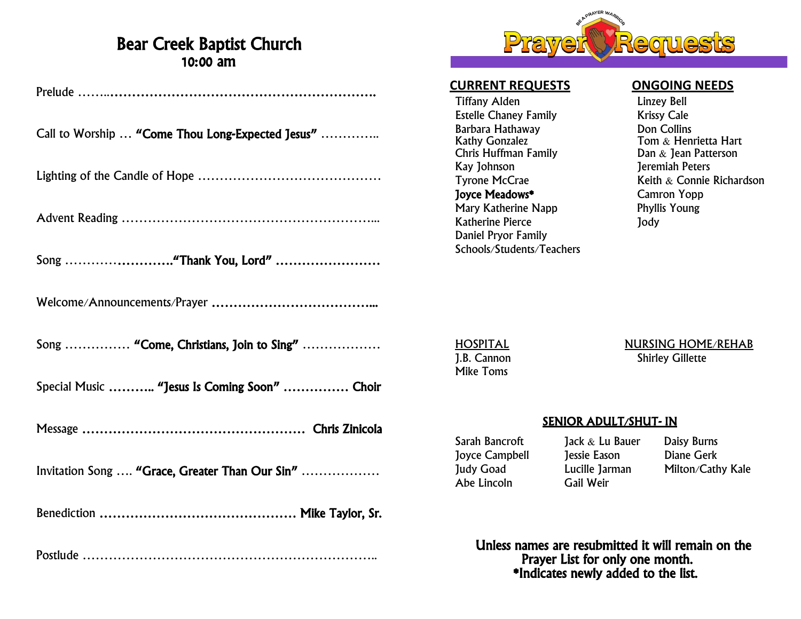# Bear Creek Baptist Church 10:00 am

| Call to Worship  "Come Thou Long-Expected Jesus" |
|--------------------------------------------------|
|                                                  |
|                                                  |
|                                                  |
|                                                  |
| Song  "Come, Christians, Join to Sing"           |
| Special Music  "Jesus Is Coming Soon"  Choir     |
|                                                  |
| Invitation Song  "Grace, Greater Than Our Sin"   |
|                                                  |
|                                                  |

Postlude …………………………………………………………..



### **CURRENT REQUESTS ONGOING NEEDS**

Tiffany Alden<br>
Estelle Chaney Family<br>
Estelle Chaney Family<br>
Cale Estelle Chaney Family Barbara Hathaway Don Collins Chris Huffman Family<br>Kay Johnson Joyce Meadows\* Camron Yopp Mary Katherine Napp Phyllis Young Katherine Pierce **In the UV** Jody Daniel Pryor Family Schools/Students/Teachers

Tom  $\&$  Henrietta Hart<br>Dan  $\&$  Jean Patterson **Jeremiah Peters** Tyrone McCrae **Keith & Connie Richardson** 

Mike Toms

HOSPITAL<br>
1.B. Cannon<br>
1.B. Cannon<br>
1.B. Cannon **Shirley Gillette** 

#### SENIOR ADULT/SHUT- IN

- Sarah Bancroft Jack & Lu Bauer Daisy Burns<br>Jovce Campbell Jessie Eason Diane Gerk Joyce Campbell Jessie Eason Abe Lincoln
- Judy Goad Lucille Jarman Milton/Cathy Kale<br>Abe Lincoln Gail Weir
	-
	- Unless names are resubmitted it will remain on the Prayer List for only one month. \*Indicates newly added to the list.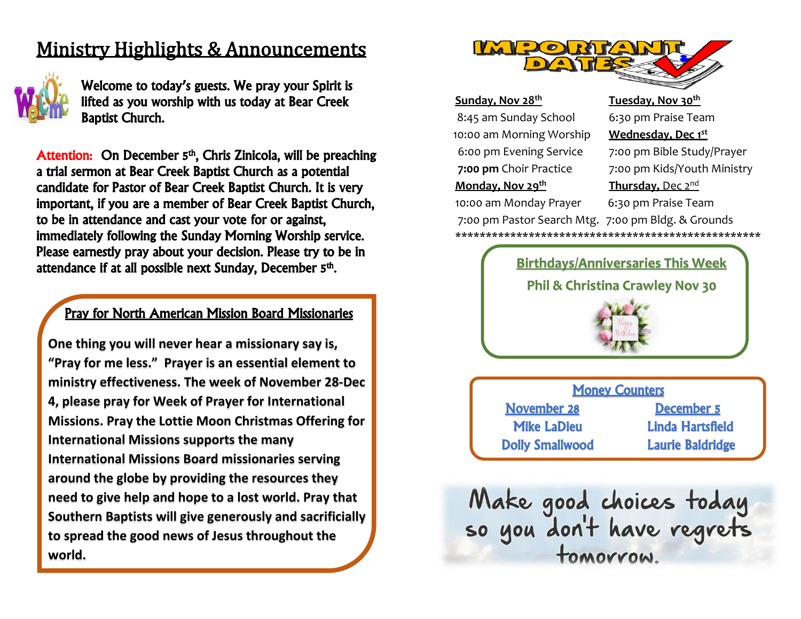# Ministry Highlights & Announcements



j I I

 $\overline{\phantom{a}}$ 

 $\overline{\phantom{a}}$ 

 $\overline{\phantom{a}}$ 

 $\overline{\phantom{a}}$ 

 $\overline{\phantom{a}}$ 

 $\overline{\phantom{a}}$ 

 $\overline{\phantom{a}}$ 

Welcome to today's guests. We pray your Spirit is lifted as you worship with us today at Bear Creek Baptist Church.

Attention: On December 5<sup>th</sup>, Chris Zinicola, will be preaching a trial sermon at Bear Creek Baptist Church as a potential candidate for Pastor of Bear Creek Baptist Church. It is very important, if you are a member of Bear Creek Baptist Church, to be in attendance and cast your vote for or against, immediately following the Sunday Morning Worship service. Please earnestly pray about your decision. Please try to be in attendance if at all possible next Sunday, December 5<sup>th</sup>.

## Pray for North American Mission Board Missionaries

**One thing you will never hear a missionary say is, "Pray for me less." Prayer is an essential element to ministry effectiveness. The week of November 28-Dec 4, please pray for Week of Prayer for International Missions. Pray the Lottie Moon Christmas Offering for International Missions supports the many International Missions Board missionaries serving around the globe by providing the resources they need to give help and hope to a lost world. Pray that Southern Baptists will give generously and sacrificially to spread the good news of Jesus throughout the world.** 



#### **Sunday, Nov 28 th**

8:45 am Sunday School 6:30 pm Praise Team 10:00 am Morning Worship **Wednesday, Dec 1st Monday, Nov 29 th**

#### **Tuesday, Nov 30th**

6:00 pm Evening Service 7:00 pm Bible Study/Prayer **7:00 pm** Choir Practice 7:00 pm Kids/Youth Ministry **Thursday,** Dec 2nd 10:00 am Monday Prayer 6:30 pm Praise Team

7:00 pm Pastor Search Mtg. 7:00 pm Bldg. & Grounds \*\*\*\*\*\*\*\*\*\*\*\*\*\*\*\*\*\*\*\*\*\*\*\*\*\*\*\*\*\*\*\*\*\*\*\*\*\*\*\*\*\*\*\*\*\*\*\*\*\*



Money Counters November 28 December 5

 Mike LaDieu Linda Hartsfield Dolly Smallwood Laurie Baldridge

Make good choices today<br>so you don't have regrets tomorrow.